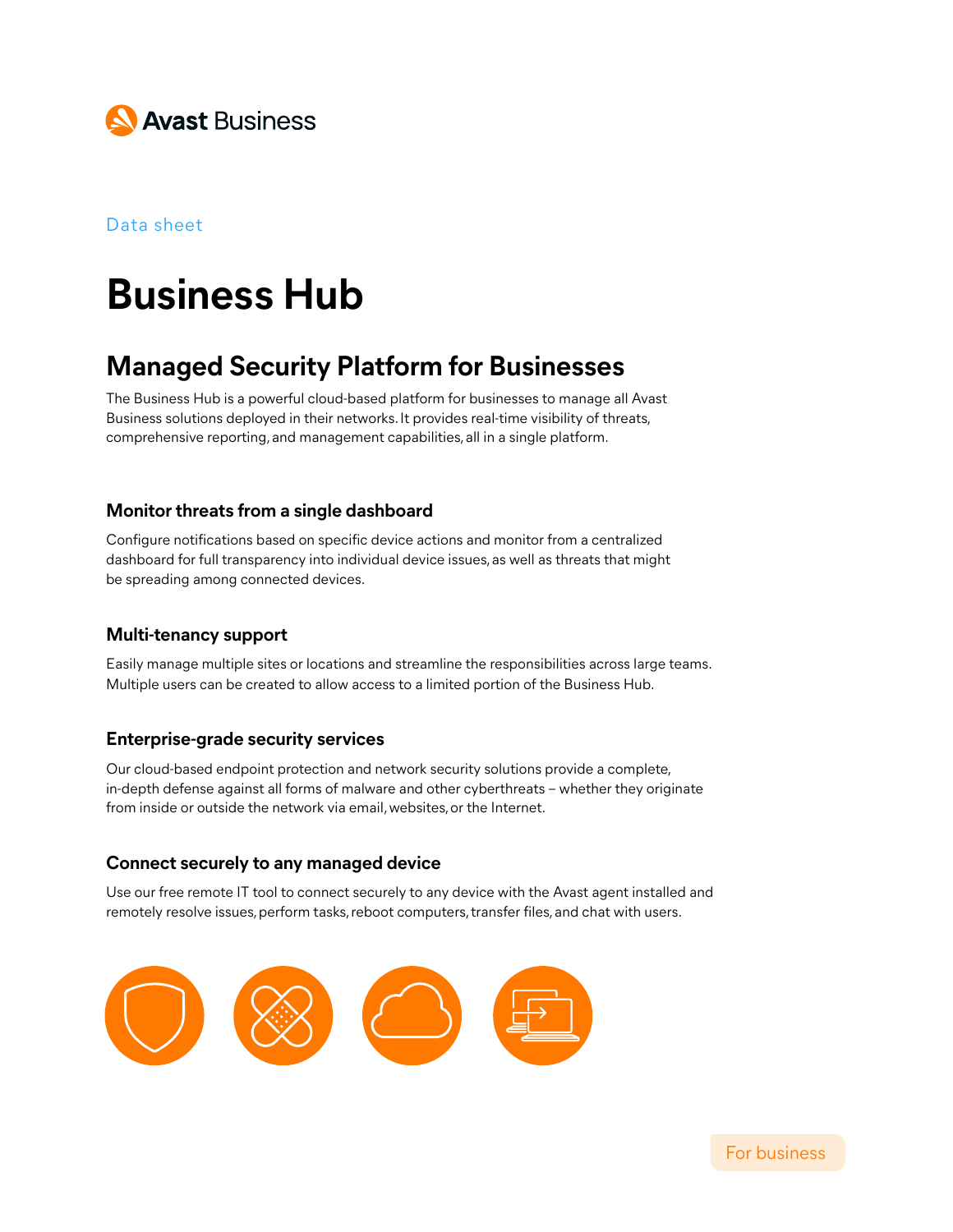

#### Data sheet

# **Business Hub**

# **Managed Security Platform for Businesses**

The Business Hub is a powerful cloud-based platform for businesses to manage all Avast Business solutions deployed in their networks. It provides real-time visibility of threats, comprehensive reporting, and management capabilities, all in a single platform.

#### **Monitor threats from a single dashboard**

Configure notifications based on specific device actions and monitor from a centralized dashboard for full transparency into individual device issues, as well as threats that might be spreading among connected devices.

#### **Multi-tenancy support**

Easily manage multiple sites or locations and streamline the responsibilities across large teams. Multiple users can be created to allow access to a limited portion of the Business Hub.

#### **Enterprise-grade security services**

Our cloud-based endpoint protection and network security solutions provide a complete, in-depth defense against all forms of malware and other cyberthreats – whether they originate from inside or outside the network via email, websites, or the Internet.

#### **Connect securely to any managed device**

Use our free remote IT tool to connect securely to any device with the Avast agent installed and remotely resolve issues, perform tasks, reboot computers, transfer files, and chat with users.

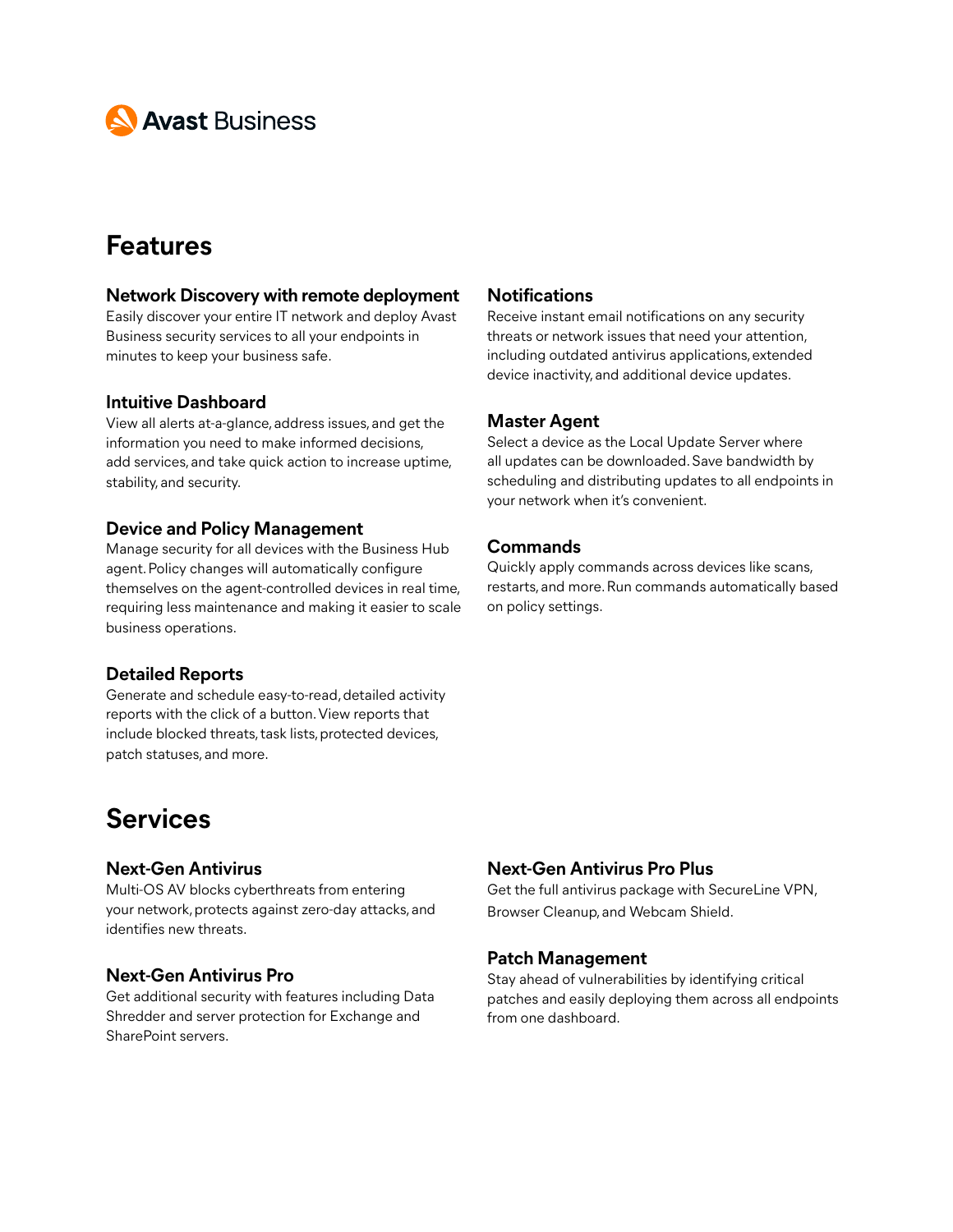

# **Features**

#### **Network Discovery with remote deployment**

Easily discover your entire IT network and deploy Avast Business security services to all your endpoints in minutes to keep your business safe.

#### **Intuitive Dashboard**

View all alerts at-a-glance, address issues, and get the information you need to make informed decisions, add services, and take quick action to increase uptime, stability, and security.

#### **Device and Policy Management**

Manage security for all devices with the Business Hub agent. Policy changes will automatically configure themselves on the agent-controlled devices in real time, requiring less maintenance and making it easier to scale business operations.

#### **Detailed Reports**

Generate and schedule easy-to-read, detailed activity reports with the click of a button. View reports that include blocked threats, task lists, protected devices, patch statuses, and more.

# **Services**

#### **Next-Gen Antivirus**

Multi-OS AV blocks cyberthreats from entering your network, protects against zero-day attacks, and identifies new threats.

#### **Next-Gen Antivirus Pro**

Get additional security with features including Data Shredder and server protection for Exchange and SharePoint servers.

#### **Notifications**

Receive instant email notifications on any security threats or network issues that need your attention, including outdated antivirus applications, extended device inactivity, and additional device updates.

#### **Master Agent**

Select a device as the Local Update Server where all updates can be downloaded. Save bandwidth by scheduling and distributing updates to all endpoints in your network when it's convenient.

#### **Commands**

Quickly apply commands across devices like scans, restarts, and more. Run commands automatically based on policy settings.

#### **Next-Gen Antivirus Pro Plus**

Get the full antivirus package with SecureLine VPN, Browser Cleanup, and Webcam Shield.

#### **Patch Management**

Stay ahead of vulnerabilities by identifying critical patches and easily deploying them across all endpoints from one dashboard.